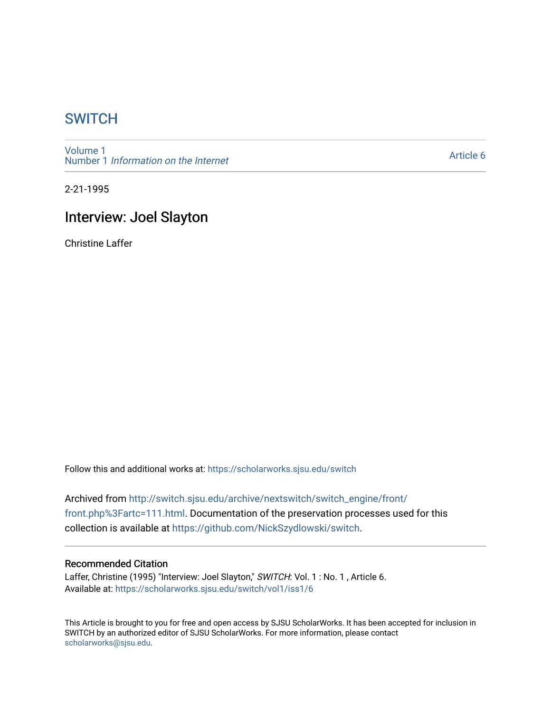## **SWITCH**

[Volume 1](https://scholarworks.sjsu.edu/switch/vol1) Number 1 [Information on the Internet](https://scholarworks.sjsu.edu/switch/vol1/iss1) 

[Article 6](https://scholarworks.sjsu.edu/switch/vol1/iss1/6) 

2-21-1995

## Interview: Joel Slayton

Christine Laffer

Follow this and additional works at: [https://scholarworks.sjsu.edu/switch](https://scholarworks.sjsu.edu/switch?utm_source=scholarworks.sjsu.edu%2Fswitch%2Fvol1%2Fiss1%2F6&utm_medium=PDF&utm_campaign=PDFCoverPages)

Archived from [http://switch.sjsu.edu/archive/nextswitch/switch\\_engine/front/](http://switch.sjsu.edu/archive/nextswitch/switch_engine/front/front.php%3Fartc=111.html) [front.php%3Fartc=111.html.](http://switch.sjsu.edu/archive/nextswitch/switch_engine/front/front.php%3Fartc=111.html) Documentation of the preservation processes used for this collection is available at [https://github.com/NickSzydlowski/switch.](https://github.com/NickSzydlowski/switch)

## Recommended Citation

Laffer, Christine (1995) "Interview: Joel Slayton," SWITCH: Vol. 1 : No. 1, Article 6. Available at: [https://scholarworks.sjsu.edu/switch/vol1/iss1/6](https://scholarworks.sjsu.edu/switch/vol1/iss1/6?utm_source=scholarworks.sjsu.edu%2Fswitch%2Fvol1%2Fiss1%2F6&utm_medium=PDF&utm_campaign=PDFCoverPages)

This Article is brought to you for free and open access by SJSU ScholarWorks. It has been accepted for inclusion in SWITCH by an authorized editor of SJSU ScholarWorks. For more information, please contact [scholarworks@sjsu.edu](mailto:scholarworks@sjsu.edu).